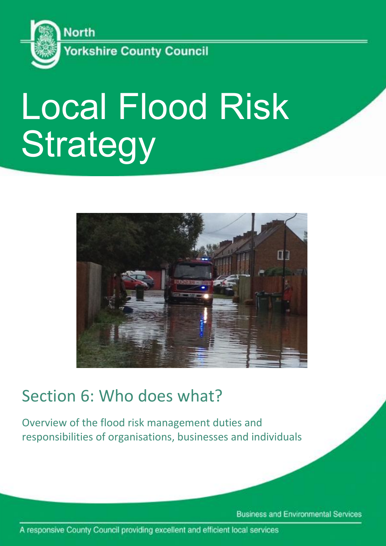

# Local Flood Risk **Strategy**



## Section 6: Who does what?

Overview of the flood risk management duties and responsibilities of organisations, businesses and individuals

**Business and Environmental Services** 

A responsive County Council providing excellent and efficient local services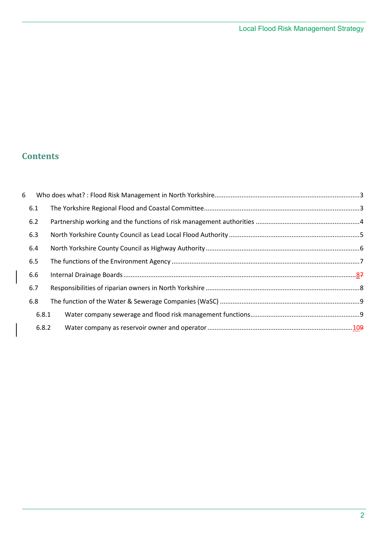### **Contents**

| 6   |       |  |  |
|-----|-------|--|--|
|     | 6.1   |  |  |
|     | 6.2   |  |  |
|     | 6.3   |  |  |
|     | 6.4   |  |  |
|     | 6.5   |  |  |
|     | 6.6   |  |  |
|     | 6.7   |  |  |
| 6.8 |       |  |  |
|     | 6.8.1 |  |  |
|     | 6.8.2 |  |  |
|     |       |  |  |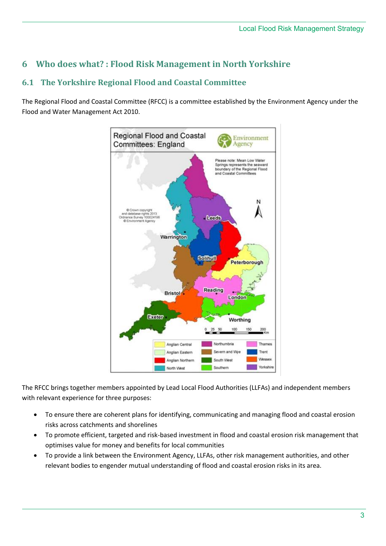#### <span id="page-2-0"></span>**6 Who does what? : Flood Risk Management in North Yorkshire**

#### <span id="page-2-1"></span>**6.1 The Yorkshire Regional Flood and Coastal Committee**

The Regional Flood and Coastal Committee (RFCC) is a committee established by the Environment Agency under the Flood and Water Management Act 2010.



The RFCC brings together members appointed by Lead Local Flood Authorities (LLFAs) and independent members with relevant experience for three purposes:

- To ensure there are coherent plans for identifying, communicating and managing flood and coastal erosion risks across catchments and shorelines
- To promote efficient, targeted and risk-based investment in flood and coastal erosion risk management that optimises value for money and benefits for local communities
- To provide a link between the Environment Agency, LLFAs, other risk management authorities, and other relevant bodies to engender mutual understanding of flood and coastal erosion risks in its area.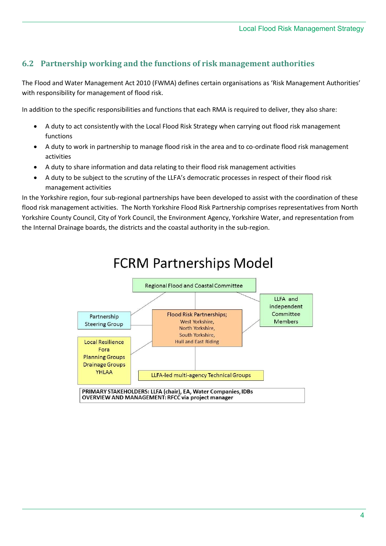#### <span id="page-3-0"></span>**6.2 Partnership working and the functions of risk management authorities**

The Flood and Water Management Act 2010 (FWMA) defines certain organisations as 'Risk Management Authorities' with responsibility for management of flood risk.

In addition to the specific responsibilities and functions that each RMA is required to deliver, they also share:

- A duty to act consistently with the Local Flood Risk Strategy when carrying out flood risk management functions
- A duty to work in partnership to manage flood risk in the area and to co-ordinate flood risk management activities
- A duty to share information and data relating to their flood risk management activities
- A duty to be subject to the scrutiny of the LLFA's democratic processes in respect of their flood risk management activities

In the Yorkshire region, four sub-regional partnerships have been developed to assist with the coordination of these flood risk management activities. The North Yorkshire Flood Risk Partnership comprises representatives from North Yorkshire County Council, City of York Council, the Environment Agency, Yorkshire Water, and representation from the Internal Drainage boards, the districts and the coastal authority in the sub-region.

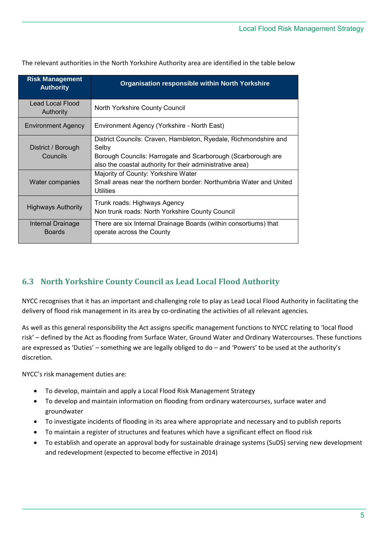| <b>Risk Management</b><br><b>Authority</b> | <b>Organisation responsible within North Yorkshire</b>                                                                                                                                                 |
|--------------------------------------------|--------------------------------------------------------------------------------------------------------------------------------------------------------------------------------------------------------|
| Lead Local Flood<br>Authority              | North Yorkshire County Council                                                                                                                                                                         |
| Environment Agency                         | Environment Agency (Yorkshire - North East)                                                                                                                                                            |
| District / Borough<br>Councils             | District Councils: Craven, Hambleton, Ryedale, Richmondshire and<br>Selby<br>Borough Councils: Harrogate and Scarborough (Scarborough are<br>also the coastal authority for their administrative area) |
| Water companies                            | Majority of County: Yorkshire Water<br>Small areas near the northern border: Northumbria Water and United<br>Utilities                                                                                 |
| Highways Authority                         | Trunk roads: Highways Agency<br>Non trunk roads: North Yorkshire County Council                                                                                                                        |
| Internal Drainage<br><b>Boards</b>         | There are six Internal Drainage Boards (within consortiums) that<br>operate across the County                                                                                                          |

The relevant authorities in the North Yorkshire Authority area are identified in the table below

#### <span id="page-4-0"></span>**6.3 North Yorkshire County Council as Lead Local Flood Authority**

NYCC recognises that it has an important and challenging role to play as Lead Local Flood Authority in facilitating the delivery of flood risk management in its area by co-ordinating the activities of all relevant agencies.

As well as this general responsibility the Act assigns specific management functions to NYCC relating to 'local flood risk' – defined by the Act as flooding from Surface Water, Ground Water and Ordinary Watercourses. These functions are expressed as 'Duties' – something we are legally obliged to do – and 'Powers' to be used at the authority's discretion.

NYCC's risk management duties are:

- To develop, maintain and apply a Local Flood Risk Management Strategy
- To develop and maintain information on flooding from ordinary watercourses, surface water and groundwater
- To investigate incidents of flooding in its area where appropriate and necessary and to publish reports
- To maintain a register of structures and features which have a significant effect on flood risk
- To establish and operate an approval body for sustainable drainage systems (SuDS) serving new development and redevelopment (expected to become effective in 2014)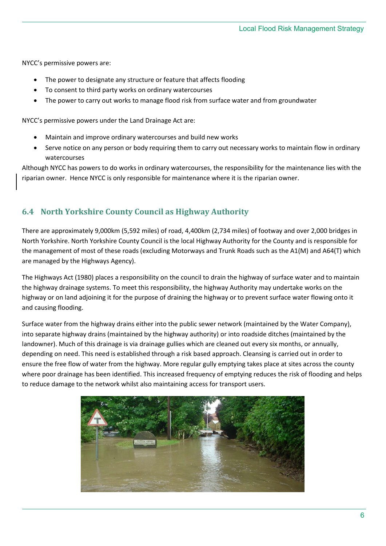NYCC's permissive powers are:

- The power to designate any structure or feature that affects flooding
- To consent to third party works on ordinary watercourses
- The power to carry out works to manage flood risk from surface water and from groundwater

NYCC's permissive powers under the Land Drainage Act are:

- Maintain and improve ordinary watercourses and build new works
- Serve notice on any person or body requiring them to carry out necessary works to maintain flow in ordinary watercourses

Although NYCC has powers to do works in ordinary watercourses, the responsibility for the maintenance lies with the riparian owner. Hence NYCC is only responsible for maintenance where it is the riparian owner.

#### <span id="page-5-0"></span>**6.4 North Yorkshire County Council as Highway Authority**

There are approximately 9,000km (5,592 miles) of road, 4,400km (2,734 miles) of footway and over 2,000 bridges in North Yorkshire. North Yorkshire County Council is the local Highway Authority for the County and is responsible for the management of most of these roads (excluding Motorways and Trunk Roads such as the A1(M) and A64(T) which are managed by the Highways Agency).

The Highways Act (1980) places a responsibility on the council to drain the highway of surface water and to maintain the highway drainage systems. To meet this responsibility, the highway Authority may undertake works on the highway or on land adjoining it for the purpose of draining the highway or to prevent surface water flowing onto it and causing flooding.

Surface water from the highway drains either into the public sewer network (maintained by the Water Company), into separate highway drains (maintained by the highway authority) or into roadside ditches (maintained by the landowner). Much of this drainage is via drainage gullies which are cleaned out every six months, or annually, depending on need. This need is established through a risk based approach. Cleansing is carried out in order to ensure the free flow of water from the highway. More regular gully emptying takes place at sites across the county where poor drainage has been identified. This increased frequency of emptying reduces the risk of flooding and helps to reduce damage to the network whilst also maintaining access for transport users.

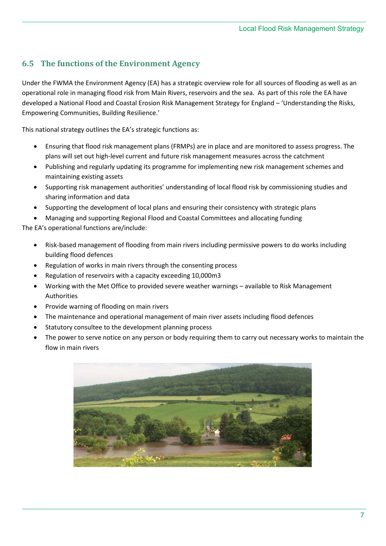#### <span id="page-6-0"></span>**6.5 The functions of the Environment Agency**

Under the FWMA the Environment Agency (EA) has a strategic overview role for all sources of flooding as well as an operational role in managing flood risk from Main Rivers, reservoirs and the sea. As part of this role the EA have developed a National Flood and Coastal Erosion Risk Management Strategy for England – 'Understanding the Risks, Empowering Communities, Building Resilience.'

This national strategy outlines the EA's strategic functions as:

- Ensuring that flood risk management plans (FRMPs) are in place and are monitored to assess progress. The plans will set out high-level current and future risk management measures across the catchment
- Publishing and regularly updating its programme for implementing new risk management schemes and maintaining existing assets
- Supporting risk management authorities' understanding of local flood risk by commissioning studies and sharing information and data
- Supporting the development of local plans and ensuring their consistency with strategic plans
- Managing and supporting Regional Flood and Coastal Committees and allocating funding

The EA's operational functions are/include:

- Risk-based management of flooding from main rivers including permissive powers to do works including building flood defences
- Regulation of works in main rivers through the consenting process
- Regulation of reservoirs with a capacity exceeding 10,000m3
- Working with the Met Office to provided severe weather warnings available to Risk Management Authorities
- Provide warning of flooding on main rivers
- The maintenance and operational management of main river assets including flood defences
- Statutory consultee to the development planning process
- The power to serve notice on any person or body requiring them to carry out necessary works to maintain the flow in main rivers

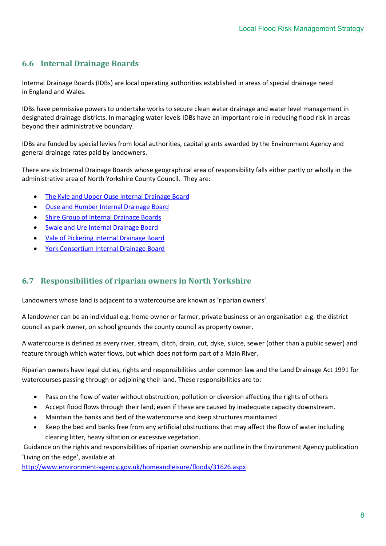#### <span id="page-7-0"></span>**6.6 Internal Drainage Boards**

Internal Drainage Boards (IDBs) are local operating authorities established in areas of special drainage need in England and Wales.

IDBs have permissive powers to undertake works to secure clean water drainage and water level management in designated drainage districts. In managing water levels IDBs have an important role in reducing flood risk in areas beyond their administrative boundary.

IDBs are funded by special levies from local authorities, capital grants awarded by the Environment Agency and general drainage rates paid by landowners.

There are six Internal Drainage Boards whose geographical area of responsibility falls either partly or wholly in the administrative area of North Yorkshire County Council. They are:

- [The Kyle and Upper Ouse Internal Drainage Board](http://www.kuoidb.org.uk/)
- [Ouse and Humber Internal Drainage Board](http://www.ohdb.org.uk/)
- [Shire Group of Internal Drainage Boards](http://www.shiregroup-idbs.gov.uk/)
- [Swale and Ure Internal Drainage Board](http://www.sandudb.gov.uk/)
- [Vale of Pickering Internal Drainage Board](http://www.valeofpickeringidbs.org.uk/)
- [York Consortium Internal Drainage Board](http://www.yorkconsort.gov.uk/)

#### <span id="page-7-1"></span>**6.7 Responsibilities of riparian owners in North Yorkshire**

Landowners whose land is adjacent to a watercourse are known as 'riparian owners'.

A landowner can be an individual e.g. home owner or farmer, private business or an organisation e.g. the district council as park owner, on school grounds the county council as property owner.

A watercourse is defined as every river, stream, ditch, drain, cut, dyke, sluice, sewer (other than a public sewer) and feature through which water flows, but which does not form part of a Main River.

Riparian owners have legal duties, rights and responsibilities under common law and the Land Drainage Act 1991 for watercourses passing through or adjoining their land. These responsibilities are to:

- Pass on the flow of water without obstruction, pollution or diversion affecting the rights of others
- Accept flood flows through their land, even if these are caused by inadequate capacity downstream.
- Maintain the banks and bed of the watercourse and keep structures maintained
- Keep the bed and banks free from any artificial obstructions that may affect the flow of water including clearing litter, heavy siltation or excessive vegetation.

 Guidance on the rights and responsibilities of riparian ownership are outline in the Environment Agency publication 'Living on the edge', available at

<http://www.environment-agency.gov.uk/homeandleisure/floods/31626.aspx>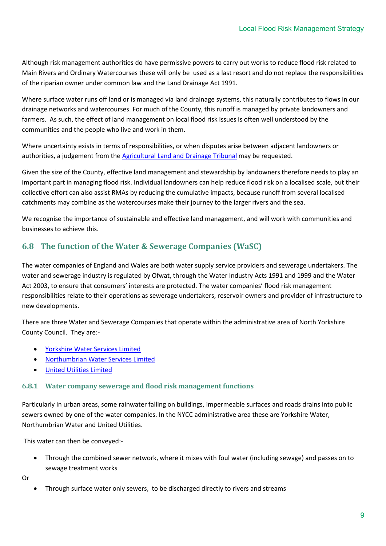Although risk management authorities do have permissive powers to carry out works to reduce flood risk related to Main Rivers and Ordinary Watercourses these will only be used as a last resort and do not replace the responsibilities of the riparian owner under common law and the Land Drainage Act 1991.

Where surface water runs off land or is managed via land drainage systems, this naturally contributes to flows in our drainage networks and watercourses. For much of the County, this runoff is managed by private landowners and farmers. As such, the effect of land management on local flood risk issues is often well understood by the communities and the people who live and work in them.

Where uncertainty exists in terms of responsibilities, or when disputes arise between adjacent landowners or authorities, a judgement from the [Agricultural Land and Drainage Tribunal](http://www.justice.gov.uk/tribunals/agricultural-land) may be requested.

Given the size of the County, effective land management and stewardship by landowners therefore needs to play an important part in managing flood risk. Individual landowners can help reduce flood risk on a localised scale, but their collective effort can also assist RMAs by reducing the cumulative impacts, because runoff from several localised catchments may combine as the watercourses make their journey to the larger rivers and the sea.

We recognise the importance of sustainable and effective land management, and will work with communities and businesses to achieve this.

#### <span id="page-8-0"></span>**6.8 The function of the Water & Sewerage Companies (WaSC)**

The water companies of England and Wales are both water supply service providers and sewerage undertakers. The water and sewerage industry is regulated by Ofwat, through the Water Industry Acts 1991 and 1999 and the Water Act 2003, to ensure that consumers' interests are protected. The water companies' flood risk management responsibilities relate to their operations as sewerage undertakers, reservoir owners and provider of infrastructure to new developments.

There are three Water and Sewerage Companies that operate within the administrative area of North Yorkshire County Council. They are:-

- [Yorkshire Water Services Limited](http://www.yorkshirewater.com/)
- [Northumbrian Water Services Limited](https://www.nwl.co.uk/your-home.aspx?)
- [United Utilities Limited](http://www.unitedutilities.com/default.aspx)

#### <span id="page-8-1"></span>**6.8.1 Water company sewerage and flood risk management functions**

Particularly in urban areas, some rainwater falling on buildings, impermeable surfaces and roads drains into public sewers owned by one of the water companies. In the NYCC administrative area these are Yorkshire Water, Northumbrian Water and United Utilities.

This water can then be conveyed:-

 Through the combined sewer network, where it mixes with foul water (including sewage) and passes on to sewage treatment works

Or

Through surface water only sewers, to be discharged directly to rivers and streams